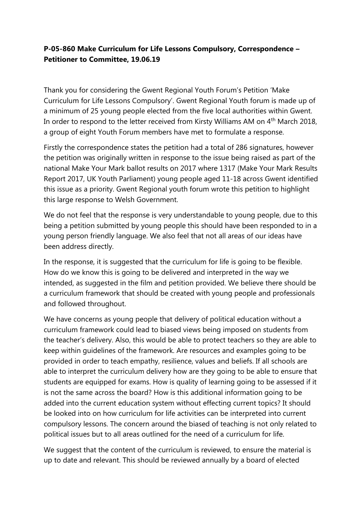## **P-05-860 Make Curriculum for Life Lessons Compulsory, Correspondence – Petitioner to Committee, 19.06.19**

Thank you for considering the Gwent Regional Youth Forum's Petition 'Make Curriculum for Life Lessons Compulsory'. Gwent Regional Youth forum is made up of a minimum of 25 young people elected from the five local authorities within Gwent. In order to respond to the letter received from Kirsty Williams AM on  $4<sup>th</sup>$  March 2018, a group of eight Youth Forum members have met to formulate a response.

Firstly the correspondence states the petition had a total of 286 signatures, however the petition was originally written in response to the issue being raised as part of the national Make Your Mark ballot results on 2017 where 1317 (Make Your Mark Results Report 2017, UK Youth Parliament) young people aged 11-18 across Gwent identified this issue as a priority. Gwent Regional youth forum wrote this petition to highlight this large response to Welsh Government.

We do not feel that the response is very understandable to young people, due to this being a petition submitted by young people this should have been responded to in a young person friendly language. We also feel that not all areas of our ideas have been address directly.

In the response, it is suggested that the curriculum for life is going to be flexible. How do we know this is going to be delivered and interpreted in the way we intended, as suggested in the film and petition provided. We believe there should be a curriculum framework that should be created with young people and professionals and followed throughout.

We have concerns as young people that delivery of political education without a curriculum framework could lead to biased views being imposed on students from the teacher's delivery. Also, this would be able to protect teachers so they are able to keep within guidelines of the framework. Are resources and examples going to be provided in order to teach empathy, resilience, values and beliefs. If all schools are able to interpret the curriculum delivery how are they going to be able to ensure that students are equipped for exams. How is quality of learning going to be assessed if it is not the same across the board? How is this additional information going to be added into the current education system without effecting current topics? It should be looked into on how curriculum for life activities can be interpreted into current compulsory lessons. The concern around the biased of teaching is not only related to political issues but to all areas outlined for the need of a curriculum for life.

We suggest that the content of the curriculum is reviewed, to ensure the material is up to date and relevant. This should be reviewed annually by a board of elected